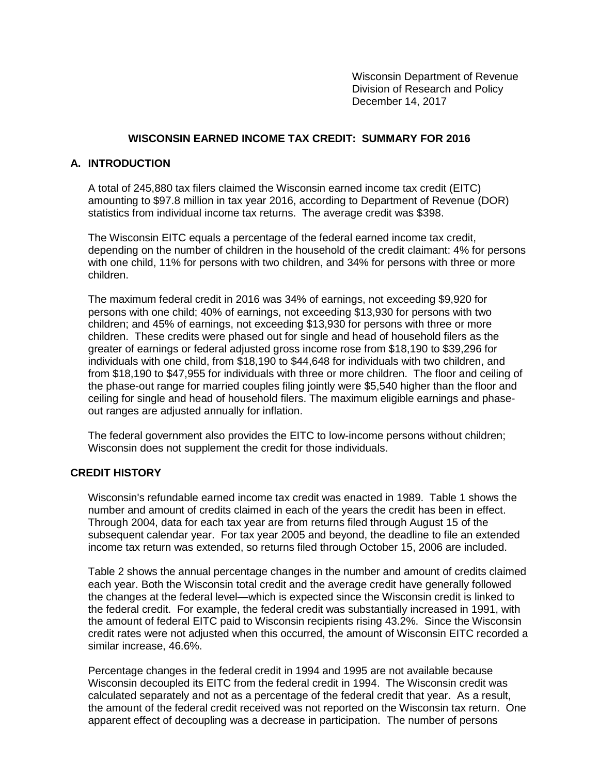Wisconsin Department of Revenue Division of Research and Policy December 14, 2017

## **WISCONSIN EARNED INCOME TAX CREDIT: SUMMARY FOR 2016**

## **A. INTRODUCTION**

A total of 245,880 tax filers claimed the Wisconsin earned income tax credit (EITC) amounting to \$97.8 million in tax year 2016, according to Department of Revenue (DOR) statistics from individual income tax returns. The average credit was \$398.

The Wisconsin EITC equals a percentage of the federal earned income tax credit, depending on the number of children in the household of the credit claimant: 4% for persons with one child, 11% for persons with two children, and 34% for persons with three or more children.

The maximum federal credit in 2016 was 34% of earnings, not exceeding \$9,920 for persons with one child; 40% of earnings, not exceeding \$13,930 for persons with two children; and 45% of earnings, not exceeding \$13,930 for persons with three or more children. These credits were phased out for single and head of household filers as the greater of earnings or federal adjusted gross income rose from \$18,190 to \$39,296 for individuals with one child, from \$18,190 to \$44,648 for individuals with two children, and from \$18,190 to \$47,955 for individuals with three or more children. The floor and ceiling of the phase-out range for married couples filing jointly were \$5,540 higher than the floor and ceiling for single and head of household filers. The maximum eligible earnings and phaseout ranges are adjusted annually for inflation.

The federal government also provides the EITC to low-income persons without children; Wisconsin does not supplement the credit for those individuals.

## **CREDIT HISTORY**

Wisconsin's refundable earned income tax credit was enacted in 1989. Table 1 shows the number and amount of credits claimed in each of the years the credit has been in effect. Through 2004, data for each tax year are from returns filed through August 15 of the subsequent calendar year. For tax year 2005 and beyond, the deadline to file an extended income tax return was extended, so returns filed through October 15, 2006 are included.

Table 2 shows the annual percentage changes in the number and amount of credits claimed each year. Both the Wisconsin total credit and the average credit have generally followed the changes at the federal level—which is expected since the Wisconsin credit is linked to the federal credit. For example, the federal credit was substantially increased in 1991, with the amount of federal EITC paid to Wisconsin recipients rising 43.2%. Since the Wisconsin credit rates were not adjusted when this occurred, the amount of Wisconsin EITC recorded a similar increase, 46.6%.

Percentage changes in the federal credit in 1994 and 1995 are not available because Wisconsin decoupled its EITC from the federal credit in 1994. The Wisconsin credit was calculated separately and not as a percentage of the federal credit that year. As a result, the amount of the federal credit received was not reported on the Wisconsin tax return. One apparent effect of decoupling was a decrease in participation. The number of persons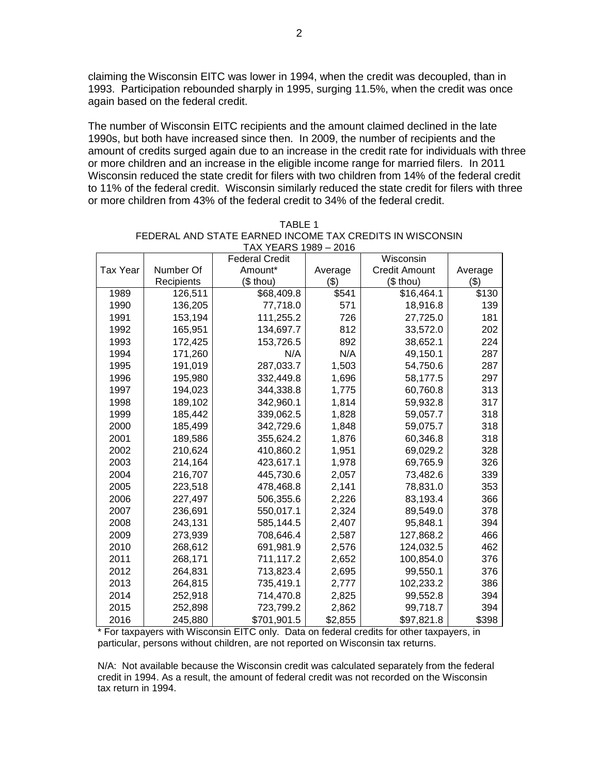claiming the Wisconsin EITC was lower in 1994, when the credit was decoupled, than in 1993. Participation rebounded sharply in 1995, surging 11.5%, when the credit was once again based on the federal credit.

The number of Wisconsin EITC recipients and the amount claimed declined in the late 1990s, but both have increased since then. In 2009, the number of recipients and the amount of credits surged again due to an increase in the credit rate for individuals with three or more children and an increase in the eligible income range for married filers. In 2011 Wisconsin reduced the state credit for filers with two children from 14% of the federal credit to 11% of the federal credit. Wisconsin similarly reduced the state credit for filers with three or more children from 43% of the federal credit to 34% of the federal credit.

| $1771$ $1503 - 2010$ |            |                       |         |                      |         |  |  |  |
|----------------------|------------|-----------------------|---------|----------------------|---------|--|--|--|
|                      |            | <b>Federal Credit</b> |         | Wisconsin            |         |  |  |  |
| <b>Tax Year</b>      | Number Of  | Amount*               | Average | <b>Credit Amount</b> | Average |  |  |  |
|                      | Recipients | (\$ thou)             | ( \$)   | (\$ thou)            | $($ \$) |  |  |  |
| 1989                 | 126,511    | \$68,409.8            | \$541   | \$16,464.1           | \$130   |  |  |  |
| 1990                 | 136,205    | 77,718.0              | 571     | 18,916.8             | 139     |  |  |  |
| 1991                 | 153,194    | 111,255.2             | 726     | 27,725.0             | 181     |  |  |  |
| 1992                 | 165,951    | 134,697.7             | 812     | 33,572.0             | 202     |  |  |  |
| 1993                 | 172,425    | 153,726.5             | 892     | 38,652.1             | 224     |  |  |  |
| 1994                 | 171,260    | N/A                   | N/A     | 49,150.1             | 287     |  |  |  |
| 1995                 | 191,019    | 287,033.7             | 1,503   | 54,750.6             | 287     |  |  |  |
| 1996                 | 195,980    | 332,449.8             | 1,696   | 58,177.5             | 297     |  |  |  |
| 1997                 | 194,023    | 344,338.8             | 1,775   | 60,760.8             | 313     |  |  |  |
| 1998                 | 189,102    | 342,960.1             | 1,814   | 59,932.8             | 317     |  |  |  |
| 1999                 | 185,442    | 339,062.5             | 1,828   | 59,057.7             | 318     |  |  |  |
| 2000                 | 185,499    | 342,729.6             | 1,848   | 59,075.7             | 318     |  |  |  |
| 2001                 | 189,586    | 355,624.2             | 1,876   | 60,346.8             | 318     |  |  |  |
| 2002                 | 210,624    | 410,860.2             | 1,951   | 69,029.2             | 328     |  |  |  |
| 2003                 | 214,164    | 423,617.1             | 1,978   | 69,765.9             | 326     |  |  |  |
| 2004                 | 216,707    | 445,730.6             | 2,057   | 73,482.6             | 339     |  |  |  |
| 2005                 | 223,518    | 478,468.8             | 2,141   | 78,831.0             | 353     |  |  |  |
| 2006                 | 227,497    | 506,355.6             | 2,226   | 83,193.4             | 366     |  |  |  |
| 2007                 | 236,691    | 550,017.1             | 2,324   | 89,549.0             | 378     |  |  |  |
| 2008                 | 243,131    | 585,144.5             | 2,407   | 95,848.1             | 394     |  |  |  |
| 2009                 | 273,939    | 708,646.4             | 2,587   | 127,868.2            | 466     |  |  |  |
| 2010                 | 268,612    | 691,981.9             | 2,576   | 124,032.5            | 462     |  |  |  |
| 2011                 | 268,171    | 711,117.2             | 2,652   | 100,854.0            | 376     |  |  |  |
| 2012                 | 264,831    | 713,823.4             | 2,695   | 99,550.1             | 376     |  |  |  |
| 2013                 | 264,815    | 735,419.1             | 2,777   | 102,233.2            | 386     |  |  |  |
| 2014                 | 252,918    | 714,470.8             | 2,825   | 99,552.8             | 394     |  |  |  |
| 2015                 | 252,898    | 723,799.2             | 2,862   | 99,718.7             | 394     |  |  |  |
| 2016                 | 245,880    | \$701,901.5           | \$2,855 | \$97,821.8           | \$398   |  |  |  |

| TABLE 1                                                  |
|----------------------------------------------------------|
| FEDERAL AND STATE EARNED INCOME TAX CREDITS IN WISCONSIN |
| TAX YEARS 1989 – 2016                                    |

\* For taxpayers with Wisconsin EITC only. Data on federal credits for other taxpayers, in particular, persons without children, are not reported on Wisconsin tax returns.

N/A: Not available because the Wisconsin credit was calculated separately from the federal credit in 1994. As a result, the amount of federal credit was not recorded on the Wisconsin tax return in 1994.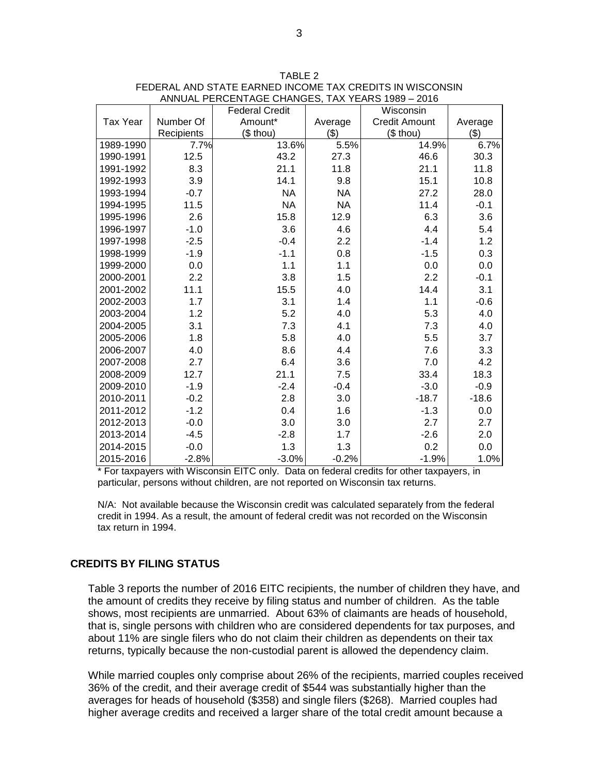|                 |            | <b>Federal Credit</b> |           | Wisconsin            |         |
|-----------------|------------|-----------------------|-----------|----------------------|---------|
| <b>Tax Year</b> | Number Of  | Amount*               | Average   | <b>Credit Amount</b> | Average |
|                 | Recipients | (\$ thou)             | (3)       | $$$ thou)            | (3)     |
| 1989-1990       | 7.7%       | 13.6%                 | 5.5%      | 14.9%                | 6.7%    |
| 1990-1991       | 12.5       | 43.2                  | 27.3      | 46.6                 | 30.3    |
| 1991-1992       | 8.3        | 21.1                  | 11.8      | 21.1                 | 11.8    |
| 1992-1993       | 3.9        | 14.1                  | 9.8       | 15.1                 | 10.8    |
| 1993-1994       | $-0.7$     | <b>NA</b>             | <b>NA</b> | 27.2                 | 28.0    |
| 1994-1995       | 11.5       | <b>NA</b>             | <b>NA</b> | 11.4                 | $-0.1$  |
| 1995-1996       | 2.6        | 15.8                  | 12.9      | 6.3                  | 3.6     |
| 1996-1997       | $-1.0$     | 3.6                   | 4.6       | 4.4                  | 5.4     |
| 1997-1998       | $-2.5$     | $-0.4$                | 2.2       | $-1.4$               | 1.2     |
| 1998-1999       | $-1.9$     | $-1.1$                | 0.8       | $-1.5$               | 0.3     |
| 1999-2000       | 0.0        | 1.1                   | 1.1       | 0.0                  | 0.0     |
| 2000-2001       | 2.2        | 3.8                   | 1.5       | 2.2                  | $-0.1$  |
| 2001-2002       | 11.1       | 15.5                  | 4.0       | 14.4                 | 3.1     |
| 2002-2003       | 1.7        | 3.1                   | 1.4       | 1.1                  | $-0.6$  |
| 2003-2004       | 1.2        | 5.2                   | 4.0       | 5.3                  | 4.0     |
| 2004-2005       | 3.1        | 7.3                   | 4.1       | 7.3                  | 4.0     |
| 2005-2006       | 1.8        | 5.8                   | 4.0       | 5.5                  | 3.7     |
| 2006-2007       | 4.0        | 8.6                   | 4.4       | 7.6                  | 3.3     |
| 2007-2008       | 2.7        | 6.4                   | 3.6       | 7.0                  | 4.2     |
| 2008-2009       | 12.7       | 21.1                  | 7.5       | 33.4                 | 18.3    |
| 2009-2010       | $-1.9$     | $-2.4$                | $-0.4$    | $-3.0$               | $-0.9$  |
| 2010-2011       | $-0.2$     | 2.8                   | 3.0       | $-18.7$              | $-18.6$ |
| 2011-2012       | $-1.2$     | 0.4                   | 1.6       | $-1.3$               | 0.0     |
| 2012-2013       | $-0.0$     | 3.0                   | 3.0       | 2.7                  | 2.7     |
| 2013-2014       | $-4.5$     | $-2.8$                | 1.7       | $-2.6$               | 2.0     |
| 2014-2015       | $-0.0$     | 1.3                   | 1.3       | 0.2                  | 0.0     |
| 2015-2016       | $-2.8%$    | $-3.0%$               | $-0.2%$   | $-1.9%$              | 1.0%    |

TABLE 2 FEDERAL AND STATE EARNED INCOME TAX CREDITS IN WISCONSIN ANNUAL PERCENTAGE CHANGES, TAX YEARS 1989 – 2016

\* For taxpayers with Wisconsin EITC only. Data on federal credits for other taxpayers, in particular, persons without children, are not reported on Wisconsin tax returns.

N/A: Not available because the Wisconsin credit was calculated separately from the federal credit in 1994. As a result, the amount of federal credit was not recorded on the Wisconsin tax return in 1994.

## **CREDITS BY FILING STATUS**

Table 3 reports the number of 2016 EITC recipients, the number of children they have, and the amount of credits they receive by filing status and number of children. As the table shows, most recipients are unmarried. About 63% of claimants are heads of household, that is, single persons with children who are considered dependents for tax purposes, and about 11% are single filers who do not claim their children as dependents on their tax returns, typically because the non-custodial parent is allowed the dependency claim.

While married couples only comprise about 26% of the recipients, married couples received 36% of the credit, and their average credit of \$544 was substantially higher than the averages for heads of household (\$358) and single filers (\$268). Married couples had higher average credits and received a larger share of the total credit amount because a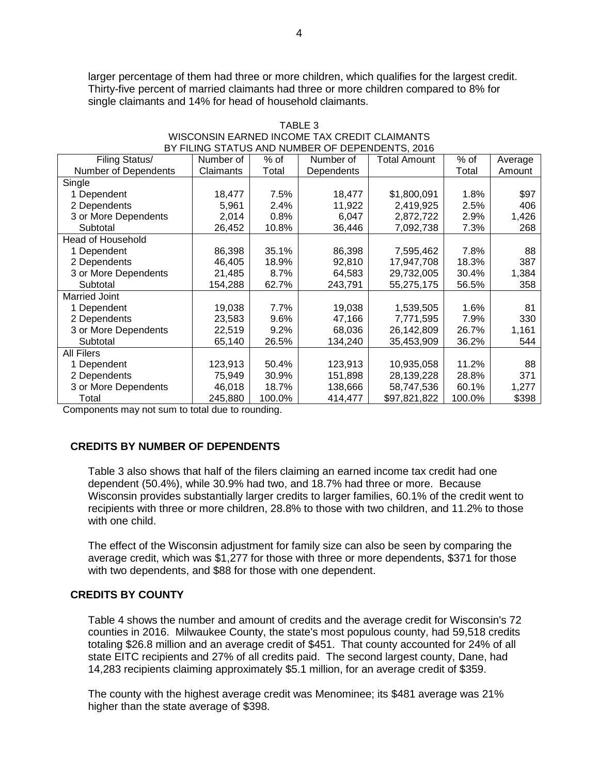larger percentage of them had three or more children, which qualifies for the largest credit. Thirty-five percent of married claimants had three or more children compared to 8% for single claimants and 14% for head of household claimants.

| DI FILING STATUS AND NUMBER OF DEPENDENTS. 2010 |           |         |            |              |        |         |  |  |
|-------------------------------------------------|-----------|---------|------------|--------------|--------|---------|--|--|
| Filing Status/                                  | Number of | % of    | Number of  | Total Amount | $%$ of | Average |  |  |
| Number of Dependents                            | Claimants | Total   | Dependents |              | Total  | Amount  |  |  |
| Single                                          |           |         |            |              |        |         |  |  |
| 1 Dependent                                     | 18,477    | 7.5%    | 18,477     | \$1,800,091  | 1.8%   | \$97    |  |  |
| 2 Dependents                                    | 5,961     | 2.4%    | 11,922     | 2,419,925    | 2.5%   | 406     |  |  |
| 3 or More Dependents                            | 2,014     | 0.8%    | 6,047      | 2,872,722    | 2.9%   | 1,426   |  |  |
| Subtotal                                        | 26,452    | 10.8%   | 36,446     | 7,092,738    | 7.3%   | 268     |  |  |
| <b>Head of Household</b>                        |           |         |            |              |        |         |  |  |
| 1 Dependent                                     | 86,398    | 35.1%   | 86,398     | 7,595,462    | 7.8%   | 88      |  |  |
| 2 Dependents                                    | 46,405    | 18.9%   | 92,810     | 17,947,708   | 18.3%  | 387     |  |  |
| 3 or More Dependents                            | 21,485    | 8.7%    | 64,583     | 29,732,005   | 30.4%  | 1,384   |  |  |
| Subtotal                                        | 154,288   | 62.7%   | 243,791    | 55,275,175   | 56.5%  | 358     |  |  |
| <b>Married Joint</b>                            |           |         |            |              |        |         |  |  |
| 1 Dependent                                     | 19,038    | 7.7%    | 19,038     | 1,539,505    | 1.6%   | 81      |  |  |
| 2 Dependents                                    | 23,583    | 9.6%    | 47,166     | 7,771,595    | 7.9%   | 330     |  |  |
| 3 or More Dependents                            | 22,519    | $9.2\%$ | 68,036     | 26,142,809   | 26.7%  | 1,161   |  |  |
| Subtotal                                        | 65,140    | 26.5%   | 134,240    | 35,453,909   | 36.2%  | 544     |  |  |
| <b>All Filers</b>                               |           |         |            |              |        |         |  |  |
| 1 Dependent                                     | 123,913   | 50.4%   | 123,913    | 10,935,058   | 11.2%  | 88      |  |  |
| 2 Dependents                                    | 75,949    | 30.9%   | 151,898    | 28,139,228   | 28.8%  | 371     |  |  |
| 3 or More Dependents                            | 46,018    | 18.7%   | 138,666    | 58,747,536   | 60.1%  | 1,277   |  |  |
| Total                                           | 245,880   | 100.0%  | 414,477    | \$97,821,822 | 100.0% | \$398   |  |  |

#### TABLE 3 WISCONSIN EARNED INCOME TAX CREDIT CLAIMANTS BY FILING STATUS AND NUMBER OF DEPENDENTS, 2016

Components may not sum to total due to rounding.

# **CREDITS BY NUMBER OF DEPENDENTS**

Table 3 also shows that half of the filers claiming an earned income tax credit had one dependent (50.4%), while 30.9% had two, and 18.7% had three or more. Because Wisconsin provides substantially larger credits to larger families, 60.1% of the credit went to recipients with three or more children, 28.8% to those with two children, and 11.2% to those with one child.

The effect of the Wisconsin adjustment for family size can also be seen by comparing the average credit, which was \$1,277 for those with three or more dependents, \$371 for those with two dependents, and \$88 for those with one dependent.

## **CREDITS BY COUNTY**

Table 4 shows the number and amount of credits and the average credit for Wisconsin's 72 counties in 2016. Milwaukee County, the state's most populous county, had 59,518 credits totaling \$26.8 million and an average credit of \$451. That county accounted for 24% of all state EITC recipients and 27% of all credits paid. The second largest county, Dane, had 14,283 recipients claiming approximately \$5.1 million, for an average credit of \$359.

The county with the highest average credit was Menominee; its \$481 average was 21% higher than the state average of \$398.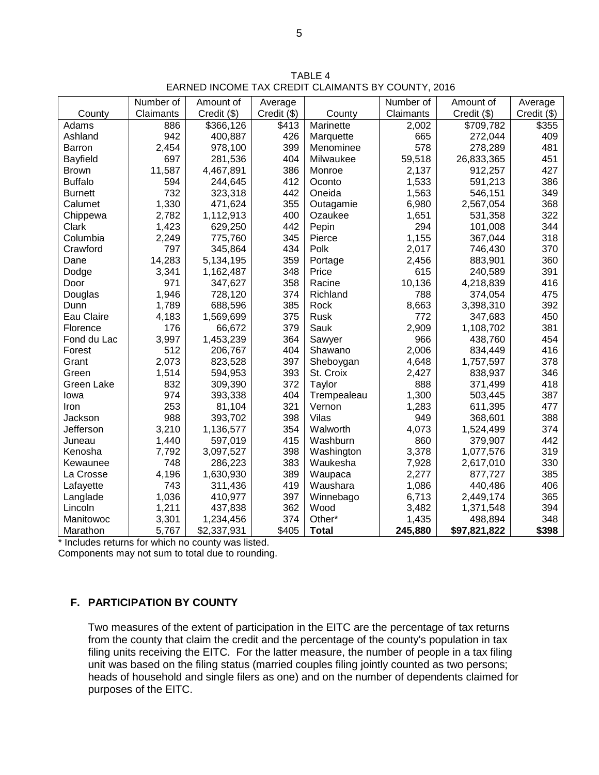|                 | Number of | Amount of   | Average     |              | Number of | Amount of    | Average       |
|-----------------|-----------|-------------|-------------|--------------|-----------|--------------|---------------|
| County          | Claimants | Credit (\$) | Credit (\$) | County       | Claimants | Credit (\$)  | $Credit$ (\$) |
| Adams           | 886       | \$366,126   | \$413       | Marinette    | 2,002     | \$709,782    | \$355         |
| Ashland         | 942       | 400,887     | 426         | Marquette    | 665       | 272,044      | 409           |
| Barron          | 2,454     | 978,100     | 399         | Menominee    | 578       | 278,289      | 481           |
| <b>Bayfield</b> | 697       | 281,536     | 404         | Milwaukee    | 59,518    | 26,833,365   | 451           |
| <b>Brown</b>    | 11,587    | 4,467,891   | 386         | Monroe       | 2,137     | 912,257      | 427           |
| <b>Buffalo</b>  | 594       | 244,645     | 412         | Oconto       | 1,533     | 591,213      | 386           |
| <b>Burnett</b>  | 732       | 323,318     | 442         | Oneida       | 1,563     | 546,151      | 349           |
| Calumet         | 1,330     | 471,624     | 355         | Outagamie    | 6,980     | 2,567,054    | 368           |
| Chippewa        | 2,782     | 1,112,913   | 400         | Ozaukee      | 1,651     | 531,358      | 322           |
| Clark           | 1,423     | 629,250     | 442         | Pepin        | 294       | 101,008      | 344           |
| Columbia        | 2,249     | 775,760     | 345         | Pierce       | 1,155     | 367,044      | 318           |
| Crawford        | 797       | 345,864     | 434         | Polk         | 2,017     | 746,430      | 370           |
| Dane            | 14,283    | 5,134,195   | 359         | Portage      | 2,456     | 883,901      | 360           |
| Dodge           | 3,341     | 1,162,487   | 348         | Price        | 615       | 240,589      | 391           |
| Door            | 971       | 347,627     | 358         | Racine       | 10,136    | 4,218,839    | 416           |
| Douglas         | 1,946     | 728,120     | 374         | Richland     | 788       | 374,054      | 475           |
| Dunn            | 1,789     | 688,596     | 385         | Rock         | 8,663     | 3,398,310    | 392           |
| Eau Claire      | 4,183     | 1,569,699   | 375         | Rusk         | 772       | 347,683      | 450           |
| Florence        | 176       | 66,672      | 379         | Sauk         | 2,909     | 1,108,702    | 381           |
| Fond du Lac     | 3,997     | 1,453,239   | 364         | Sawyer       | 966       | 438,760      | 454           |
| Forest          | 512       | 206,767     | 404         | Shawano      | 2,006     | 834,449      | 416           |
| Grant           | 2,073     | 823,528     | 397         | Sheboygan    | 4,648     | 1,757,597    | 378           |
| Green           | 1,514     | 594,953     | 393         | St. Croix    | 2,427     | 838,937      | 346           |
| Green Lake      | 832       | 309,390     | 372         | Taylor       | 888       | 371,499      | 418           |
| lowa            | 974       | 393,338     | 404         | Trempealeau  | 1,300     | 503,445      | 387           |
| Iron            | 253       | 81,104      | 321         | Vernon       | 1,283     | 611,395      | 477           |
| Jackson         | 988       | 393,702     | 398         | <b>Vilas</b> | 949       | 368,601      | 388           |
| Jefferson       | 3,210     | 1,136,577   | 354         | Walworth     | 4,073     | 1,524,499    | 374           |
| Juneau          | 1,440     | 597,019     | 415         | Washburn     | 860       | 379,907      | 442           |
| Kenosha         | 7,792     | 3,097,527   | 398         | Washington   | 3,378     | 1,077,576    | 319           |
| Kewaunee        | 748       | 286,223     | 383         | Waukesha     | 7,928     | 2,617,010    | 330           |
| La Crosse       | 4,196     | 1,630,930   | 389         | Waupaca      | 2,277     | 877,727      | 385           |
| Lafayette       | 743       | 311,436     | 419         | Waushara     | 1,086     | 440,486      | 406           |
| Langlade        | 1,036     | 410,977     | 397         | Winnebago    | 6,713     | 2,449,174    | 365           |
| Lincoln         | 1,211     | 437,838     | 362         | Wood         | 3,482     | 1,371,548    | 394           |
| Manitowoc       | 3,301     | 1,234,456   | 374         | Other*       | 1,435     | 498,894      | 348           |
| Marathon        | 5,767     | \$2,337,931 | \$405       | <b>Total</b> | 245,880   | \$97,821,822 | \$398         |

TABLE 4 EARNED INCOME TAX CREDIT CLAIMANTS BY COUNTY, 2016

\* Includes returns for which no county was listed.

Components may not sum to total due to rounding.

## **F. PARTICIPATION BY COUNTY**

Two measures of the extent of participation in the EITC are the percentage of tax returns from the county that claim the credit and the percentage of the county's population in tax filing units receiving the EITC. For the latter measure, the number of people in a tax filing unit was based on the filing status (married couples filing jointly counted as two persons; heads of household and single filers as one) and on the number of dependents claimed for purposes of the EITC.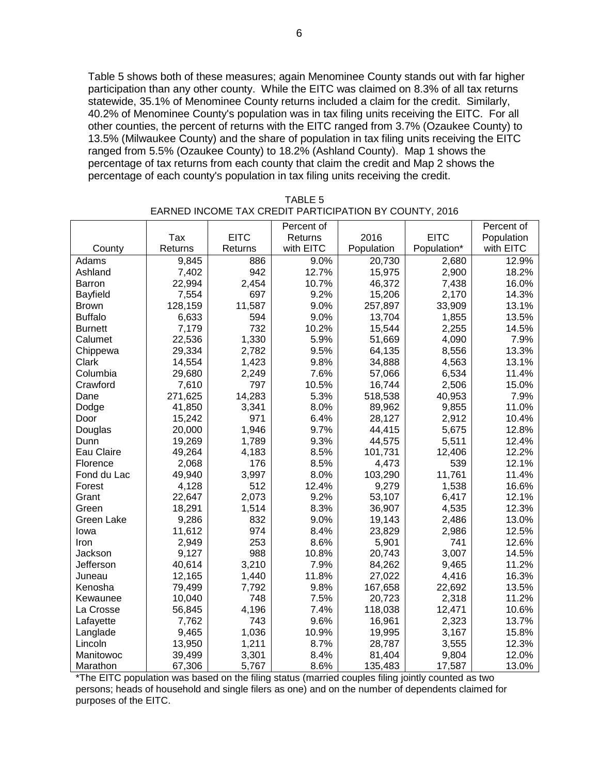Table 5 shows both of these measures; again Menominee County stands out with far higher participation than any other county. While the EITC was claimed on 8.3% of all tax returns statewide, 35.1% of Menominee County returns included a claim for the credit. Similarly, 40.2% of Menominee County's population was in tax filing units receiving the EITC. For all other counties, the percent of returns with the EITC ranged from 3.7% (Ozaukee County) to 13.5% (Milwaukee County) and the share of population in tax filing units receiving the EITC ranged from 5.5% (Ozaukee County) to 18.2% (Ashland County). Map 1 shows the percentage of tax returns from each county that claim the credit and Map 2 shows the percentage of each county's population in tax filing units receiving the credit.

|                |         |             | Percent of |            |             | Percent of |
|----------------|---------|-------------|------------|------------|-------------|------------|
|                | Tax     | <b>EITC</b> | Returns    | 2016       | <b>EITC</b> | Population |
| County         | Returns | Returns     | with EITC  | Population | Population* | with EITC  |
| Adams          | 9,845   | 886         | 9.0%       | 20,730     | 2,680       | 12.9%      |
| Ashland        | 7,402   | 942         | 12.7%      | 15,975     | 2,900       | 18.2%      |
| Barron         | 22,994  | 2,454       | 10.7%      | 46,372     | 7,438       | 16.0%      |
| Bayfield       | 7,554   | 697         | 9.2%       | 15,206     | 2,170       | 14.3%      |
| <b>Brown</b>   | 128,159 | 11,587      | 9.0%       | 257,897    | 33,909      | 13.1%      |
| <b>Buffalo</b> | 6,633   | 594         | 9.0%       | 13,704     | 1,855       | 13.5%      |
| <b>Burnett</b> | 7,179   | 732         | 10.2%      | 15,544     | 2,255       | 14.5%      |
| Calumet        | 22,536  | 1,330       | 5.9%       | 51,669     | 4,090       | 7.9%       |
| Chippewa       | 29,334  | 2,782       | 9.5%       | 64,135     | 8,556       | 13.3%      |
| Clark          | 14,554  | 1,423       | 9.8%       | 34,888     | 4,563       | 13.1%      |
| Columbia       | 29,680  | 2,249       | 7.6%       | 57,066     | 6,534       | 11.4%      |
| Crawford       | 7,610   | 797         | 10.5%      | 16,744     | 2,506       | 15.0%      |
| Dane           | 271,625 | 14,283      | 5.3%       | 518,538    | 40,953      | 7.9%       |
| Dodge          | 41,850  | 3,341       | 8.0%       | 89,962     | 9,855       | 11.0%      |
| Door           | 15,242  | 971         | 6.4%       | 28,127     | 2,912       | 10.4%      |
| Douglas        | 20,000  | 1,946       | 9.7%       | 44,415     | 5,675       | 12.8%      |
| Dunn           | 19,269  | 1,789       | 9.3%       | 44,575     | 5,511       | 12.4%      |
| Eau Claire     | 49,264  | 4,183       | 8.5%       | 101,731    | 12,406      | 12.2%      |
| Florence       | 2,068   | 176         | 8.5%       | 4,473      | 539         | 12.1%      |
| Fond du Lac    | 49,940  | 3,997       | 8.0%       | 103,290    | 11,761      | 11.4%      |
| Forest         | 4,128   | 512         | 12.4%      | 9,279      | 1,538       | 16.6%      |
| Grant          | 22,647  | 2,073       | 9.2%       | 53,107     | 6,417       | 12.1%      |
| Green          | 18,291  | 1,514       | 8.3%       | 36,907     | 4,535       | 12.3%      |
| Green Lake     | 9,286   | 832         | 9.0%       | 19,143     | 2,486       | 13.0%      |
| lowa           | 11,612  | 974         | 8.4%       | 23,829     | 2,986       | 12.5%      |
| Iron           | 2,949   | 253         | 8.6%       | 5,901      | 741         | 12.6%      |
| Jackson        | 9,127   | 988         | 10.8%      | 20,743     | 3,007       | 14.5%      |
| Jefferson      | 40,614  | 3,210       | 7.9%       | 84,262     | 9,465       | 11.2%      |
| Juneau         | 12,165  | 1,440       | 11.8%      | 27,022     | 4,416       | 16.3%      |
| Kenosha        | 79,499  | 7,792       | 9.8%       | 167,658    | 22,692      | 13.5%      |
| Kewaunee       | 10,040  | 748         | 7.5%       | 20,723     | 2,318       | 11.2%      |
| La Crosse      | 56,845  | 4,196       | 7.4%       | 118,038    | 12,471      | 10.6%      |
| Lafayette      | 7,762   | 743         | 9.6%       | 16,961     | 2,323       | 13.7%      |
| Langlade       | 9,465   | 1,036       | 10.9%      | 19,995     | 3,167       | 15.8%      |
| Lincoln        | 13,950  | 1,211       | 8.7%       | 28,787     | 3,555       | 12.3%      |
| Manitowoc      | 39,499  | 3,301       | 8.4%       | 81,404     | 9,804       | 12.0%      |
| Marathon       | 67,306  | 5,767       | 8.6%       | 135,483    | 17,587      | 13.0%      |

TABLE 5 EARNED INCOME TAX CREDIT PARTICIPATION BY COUNTY, 2016

\*The EITC population was based on the filing status (married couples filing jointly counted as two persons; heads of household and single filers as one) and on the number of dependents claimed for purposes of the EITC.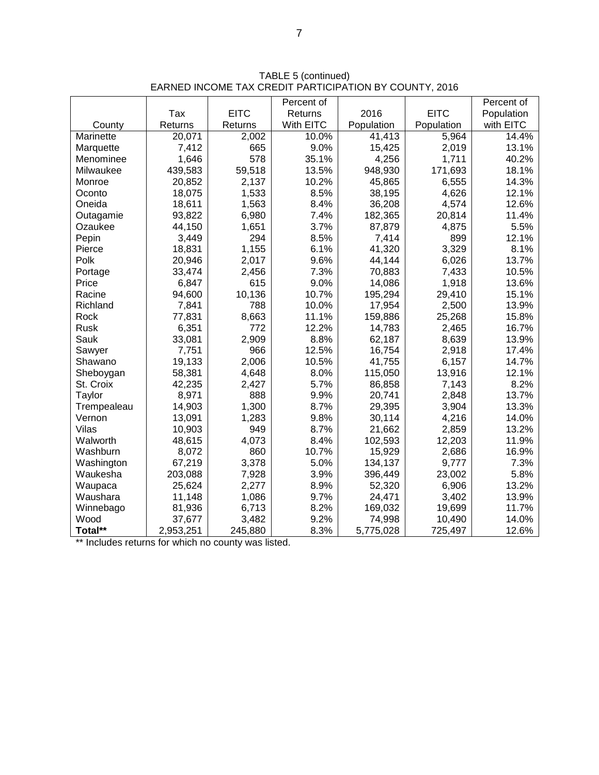|             |           |             | Percent of |            |             | Percent of |
|-------------|-----------|-------------|------------|------------|-------------|------------|
|             | Tax       | <b>EITC</b> | Returns    | 2016       | <b>EITC</b> | Population |
| County      | Returns   | Returns     | With EITC  | Population | Population  | with EITC  |
| Marinette   | 20,071    | 2,002       | 10.0%      | 41,413     | 5,964       | 14.4%      |
| Marquette   | 7,412     | 665         | 9.0%       | 15,425     | 2,019       | 13.1%      |
| Menominee   | 1,646     | 578         | 35.1%      | 4,256      | 1,711       | 40.2%      |
| Milwaukee   | 439,583   | 59,518      | 13.5%      | 948,930    | 171,693     | 18.1%      |
| Monroe      | 20,852    | 2,137       | 10.2%      | 45,865     | 6,555       | 14.3%      |
| Oconto      | 18,075    | 1,533       | 8.5%       | 38,195     | 4,626       | 12.1%      |
| Oneida      | 18,611    | 1,563       | 8.4%       | 36,208     | 4,574       | 12.6%      |
| Outagamie   | 93,822    | 6,980       | 7.4%       | 182,365    | 20,814      | 11.4%      |
| Ozaukee     | 44,150    | 1,651       | 3.7%       | 87,879     | 4,875       | 5.5%       |
| Pepin       | 3,449     | 294         | 8.5%       | 7,414      | 899         | 12.1%      |
| Pierce      | 18,831    | 1,155       | 6.1%       | 41,320     | 3,329       | 8.1%       |
| Polk        | 20,946    | 2,017       | 9.6%       | 44,144     | 6,026       | 13.7%      |
| Portage     | 33,474    | 2,456       | 7.3%       | 70,883     | 7,433       | 10.5%      |
| Price       | 6,847     | 615         | 9.0%       | 14,086     | 1,918       | 13.6%      |
| Racine      | 94,600    | 10,136      | 10.7%      | 195,294    | 29,410      | 15.1%      |
| Richland    | 7,841     | 788         | 10.0%      | 17,954     | 2,500       | 13.9%      |
| Rock        | 77,831    | 8,663       | 11.1%      | 159,886    | 25,268      | 15.8%      |
| Rusk        | 6,351     | 772         | 12.2%      | 14,783     | 2,465       | 16.7%      |
| Sauk        | 33,081    | 2,909       | 8.8%       | 62,187     | 8,639       | 13.9%      |
| Sawyer      | 7,751     | 966         | 12.5%      | 16,754     | 2,918       | 17.4%      |
| Shawano     | 19,133    | 2,006       | 10.5%      | 41,755     | 6,157       | 14.7%      |
| Sheboygan   | 58,381    | 4,648       | 8.0%       | 115,050    | 13,916      | 12.1%      |
| St. Croix   | 42,235    | 2,427       | 5.7%       | 86,858     | 7,143       | 8.2%       |
| Taylor      | 8,971     | 888         | 9.9%       | 20,741     | 2,848       | 13.7%      |
| Trempealeau | 14,903    | 1,300       | 8.7%       | 29,395     | 3,904       | 13.3%      |
| Vernon      | 13,091    | 1,283       | 9.8%       | 30,114     | 4,216       | 14.0%      |
| Vilas       | 10,903    | 949         | 8.7%       | 21,662     | 2,859       | 13.2%      |
| Walworth    | 48,615    | 4,073       | 8.4%       | 102,593    | 12,203      | 11.9%      |
| Washburn    | 8,072     | 860         | 10.7%      | 15,929     | 2,686       | 16.9%      |
| Washington  | 67,219    | 3,378       | 5.0%       | 134,137    | 9,777       | 7.3%       |
| Waukesha    | 203,088   | 7,928       | 3.9%       | 396,449    | 23,002      | 5.8%       |
| Waupaca     | 25,624    | 2,277       | 8.9%       | 52,320     | 6,906       | 13.2%      |
| Waushara    | 11,148    | 1,086       | 9.7%       | 24,471     | 3,402       | 13.9%      |
| Winnebago   | 81,936    | 6,713       | 8.2%       | 169,032    | 19,699      | 11.7%      |
| Wood        | 37,677    | 3,482       | 9.2%       | 74,998     | 10,490      | 14.0%      |
| Total**     | 2,953,251 | 245,880     | 8.3%       | 5,775,028  | 725,497     | 12.6%      |

TABLE 5 (continued) EARNED INCOME TAX CREDIT PARTICIPATION BY COUNTY, 2016

\*\* Includes returns for which no county was listed.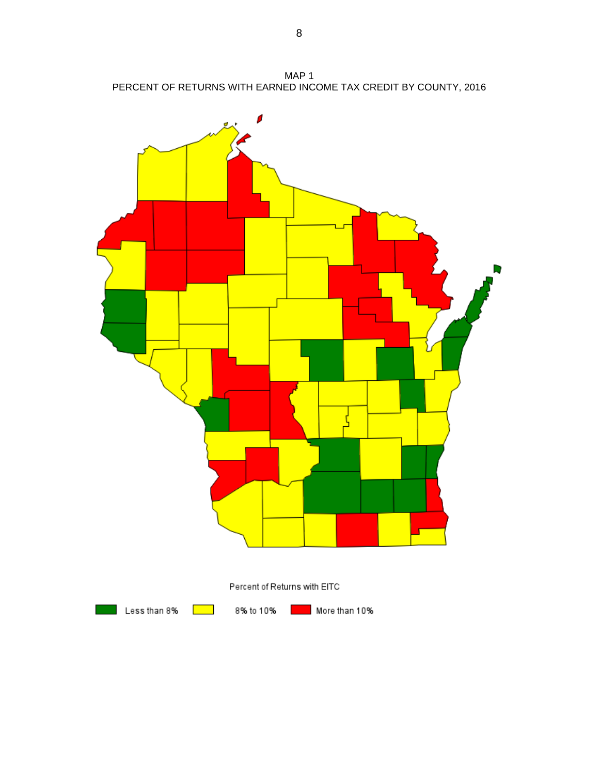MAP 1 PERCENT OF RETURNS WITH EARNED INCOME TAX CREDIT BY COUNTY, 2016